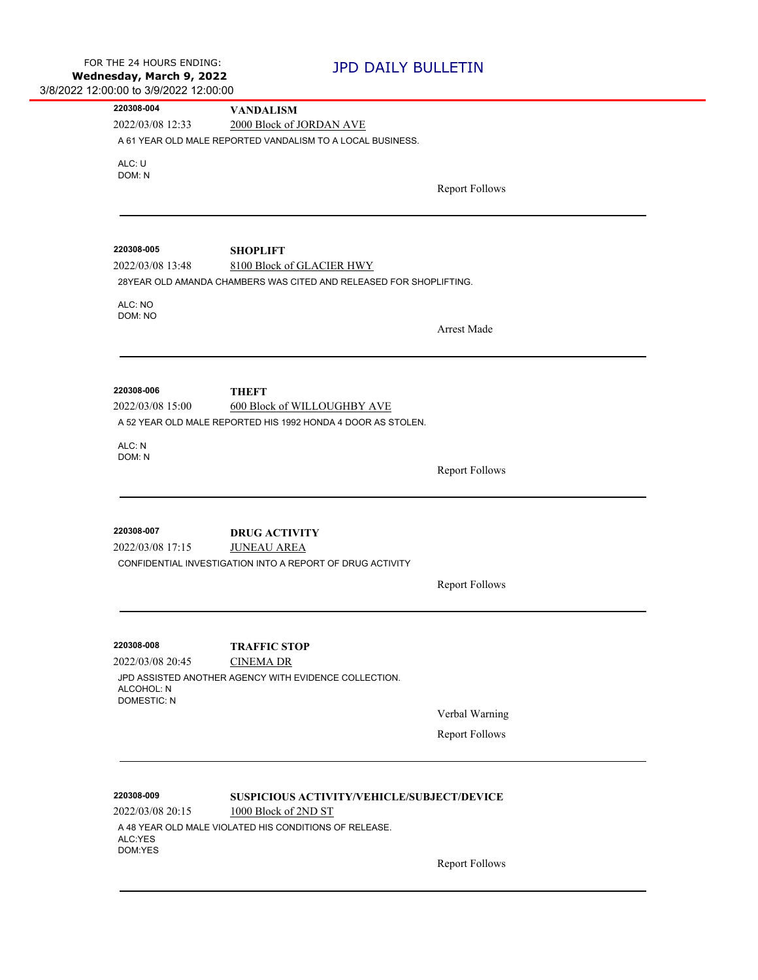| 220308-004                     | <b>VANDALISM</b>                                                          |                       |
|--------------------------------|---------------------------------------------------------------------------|-----------------------|
| 2022/03/08 12:33               | 2000 Block of JORDAN AVE                                                  |                       |
|                                | A 61 YEAR OLD MALE REPORTED VANDALISM TO A LOCAL BUSINESS.                |                       |
| ALC: U                         |                                                                           |                       |
| DOM: N                         |                                                                           | <b>Report Follows</b> |
|                                |                                                                           |                       |
|                                |                                                                           |                       |
|                                |                                                                           |                       |
| 220308-005<br>2022/03/08 13:48 | <b>SHOPLIFT</b><br>8100 Block of GLACIER HWY                              |                       |
|                                | 28YEAR OLD AMANDA CHAMBERS WAS CITED AND RELEASED FOR SHOPLIFTING.        |                       |
|                                |                                                                           |                       |
| ALC: NO<br>DOM: NO             |                                                                           |                       |
|                                |                                                                           | Arrest Made           |
|                                |                                                                           |                       |
|                                |                                                                           |                       |
| 220308-006                     | <b>THEFT</b>                                                              |                       |
| 2022/03/08 15:00               | 600 Block of WILLOUGHBY AVE                                               |                       |
|                                | A 52 YEAR OLD MALE REPORTED HIS 1992 HONDA 4 DOOR AS STOLEN.              |                       |
|                                |                                                                           |                       |
| ALC: N<br>DOM: N               |                                                                           |                       |
|                                |                                                                           | <b>Report Follows</b> |
|                                |                                                                           |                       |
|                                |                                                                           |                       |
| 220308-007                     | <b>DRUG ACTIVITY</b>                                                      |                       |
| 2022/03/08 17:15               | <b>JUNEAU AREA</b>                                                        |                       |
|                                | CONFIDENTIAL INVESTIGATION INTO A REPORT OF DRUG ACTIVITY                 |                       |
|                                |                                                                           | <b>Report Follows</b> |
|                                |                                                                           |                       |
|                                |                                                                           |                       |
|                                |                                                                           |                       |
| 220308-008                     | <b>TRAFFIC STOP</b>                                                       |                       |
| 2022/03/08 20:45               | <b>CINEMA DR</b><br>JPD ASSISTED ANOTHER AGENCY WITH EVIDENCE COLLECTION. |                       |
| ALCOHOL: N                     |                                                                           |                       |
| <b>DOMESTIC: N</b>             |                                                                           |                       |
|                                |                                                                           | Verbal Warning        |
|                                |                                                                           | <b>Report Follows</b> |
|                                |                                                                           |                       |
|                                |                                                                           |                       |
| 220308-009                     | SUSPICIOUS ACTIVITY/VEHICLE/SUBJECT/DEVICE                                |                       |
| 2022/03/08 20:15               | 1000 Block of 2ND ST                                                      |                       |
|                                | A 48 YEAR OLD MALE VIOLATED HIS CONDITIONS OF RELEASE.                    |                       |
| ALC:YES<br>DOM:YES             |                                                                           |                       |
|                                |                                                                           | <b>Report Follows</b> |
|                                |                                                                           |                       |